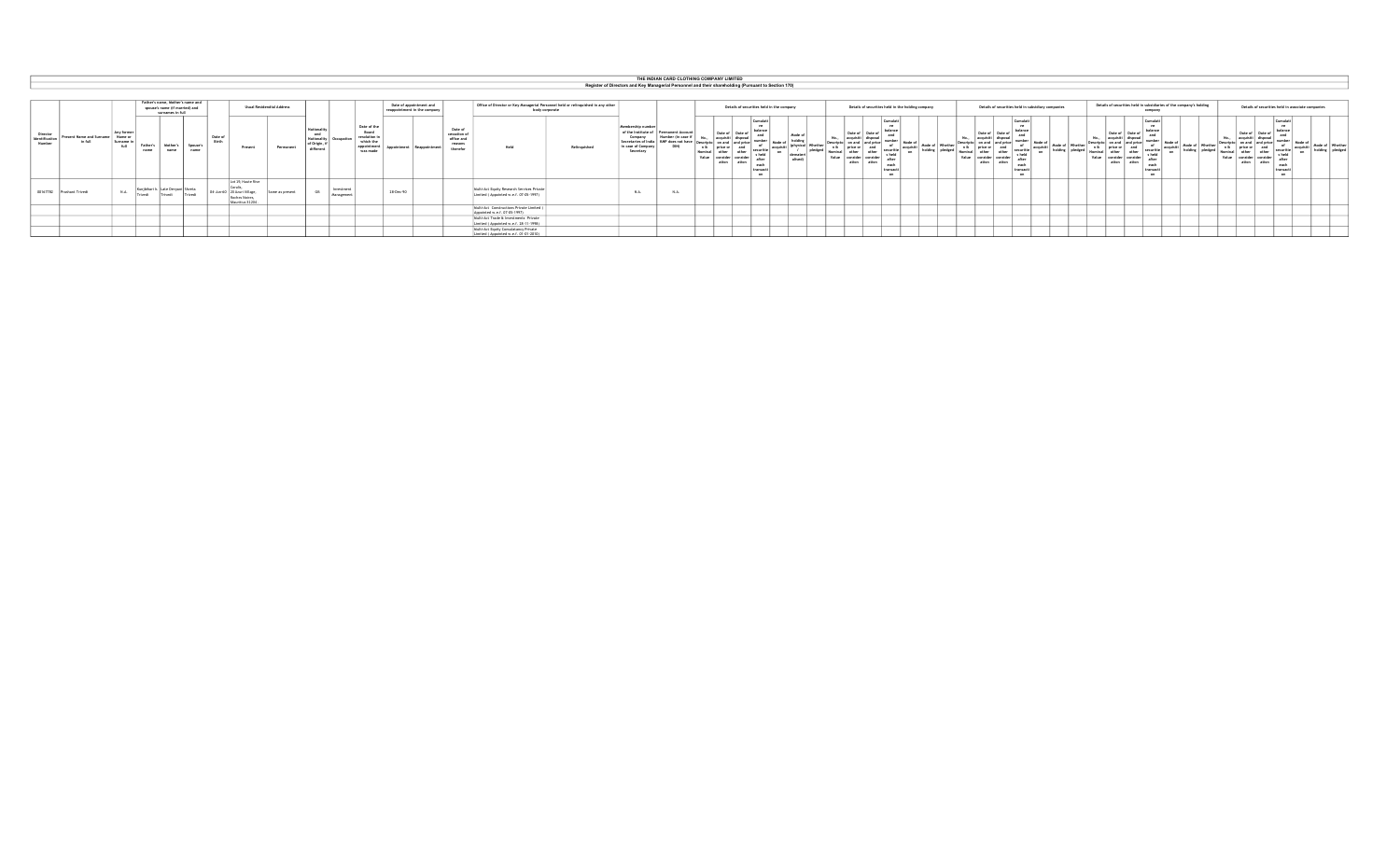|                                      |                           |                                  |                    |                  |                                                                                        |                  |                  |                                                                                        |                                 |                                                |                          |                                                                             |                                                         |                                                              |                                                                                                    |              |                                                                                                                | THE INDIAN CARD CLOTHING COMPANY LIMITED                          |                                           |                                                                                                 |                                      |       |                  |                                                   |           |                 |              |                                                    |                                                                         |           |                 |                                                   |                                   |                                  |                                                                     |       |                                           |                                                                      |                   |                                     |  |
|--------------------------------------|---------------------------|----------------------------------|--------------------|------------------|----------------------------------------------------------------------------------------|------------------|------------------|----------------------------------------------------------------------------------------|---------------------------------|------------------------------------------------|--------------------------|-----------------------------------------------------------------------------|---------------------------------------------------------|--------------------------------------------------------------|----------------------------------------------------------------------------------------------------|--------------|----------------------------------------------------------------------------------------------------------------|-------------------------------------------------------------------|-------------------------------------------|-------------------------------------------------------------------------------------------------|--------------------------------------|-------|------------------|---------------------------------------------------|-----------|-----------------|--------------|----------------------------------------------------|-------------------------------------------------------------------------|-----------|-----------------|---------------------------------------------------|-----------------------------------|----------------------------------|---------------------------------------------------------------------|-------|-------------------------------------------|----------------------------------------------------------------------|-------------------|-------------------------------------|--|
|                                      |                           |                                  |                    |                  |                                                                                        |                  |                  |                                                                                        |                                 |                                                |                          |                                                                             |                                                         |                                                              |                                                                                                    |              | Register of Directors and Key Managerial Personnel and their shareholding (Pursuant to Section 170)            |                                                                   |                                           |                                                                                                 |                                      |       |                  |                                                   |           |                 |              |                                                    |                                                                         |           |                 |                                                   |                                   |                                  |                                                                     |       |                                           |                                                                      |                   |                                     |  |
|                                      |                           |                                  |                    |                  |                                                                                        |                  |                  |                                                                                        |                                 |                                                |                          |                                                                             |                                                         |                                                              |                                                                                                    |              |                                                                                                                |                                                                   |                                           |                                                                                                 |                                      |       |                  |                                                   |           |                 |              |                                                    |                                                                         |           |                 |                                                   |                                   |                                  |                                                                     |       |                                           |                                                                      |                   |                                     |  |
|                                      |                           |                                  |                    |                  | Father's name, Mother's name and<br>spouse's name (if married) and<br>surnames in full |                  |                  |                                                                                        | <b>Hual Residendial Address</b> |                                                |                          |                                                                             | Date of appointment and<br>reappointment in the company |                                                              | Office of Director or Key Managerial Personnel held or relinquished in any other<br>body corporate |              |                                                                                                                |                                                                   | Details of securities held in the company |                                                                                                 |                                      |       |                  | Details of securities held in the holding company |           |                 |              | Details of securities held in subsidiary companies |                                                                         |           |                 |                                                   |                                   | company                          | Details of securities held in subsidiaries of the company's holding |       |                                           | Details of securities held in associate companies                    |                   |                                     |  |
| Director<br>Identification<br>Number |                           | Present Name and Surname Name or | Any former<br>full | Father's<br>name | Mother's<br>name                                                                       | Spouse's<br>name | Date of<br>Birth | Present                                                                                | Permanent                       | and<br>Nationalit<br>of Origin, i<br>different |                          | Date of the<br>Board<br>resolution i<br>which the<br>appointmen<br>was made | Reannointmen                                            | Date of<br>cessation of<br>office and<br>reasons<br>therefor | Held                                                                                               | Relinquished | Membership number<br>of the Institute of<br>Company<br>Secretaries of India<br>In case of Company<br>Secretary | Permanent Account<br>Number (in case)<br>KMP does not hav<br>DIN) | Date of<br>ation                          | <b>MA</b><br>Mode o<br>ecuritie<br>on<br>s held<br>after<br>earl<br>transact<br>00 <sup>2</sup> | Mode o<br>(physical Wheth<br>alised) | Value | Date of<br>ation | Cumulat<br>after<br>transact                      | acquisiti | Mode of Whether | n &<br>Value | Date o<br>and price<br>price or<br>ation           | Cumulat<br><b>ve</b><br>securitie<br>sheld<br>afte<br>each<br>transacti | acquisiti | Mode of Whether | Date of<br>price of<br>Value<br>consider<br>ation | Date<br>other<br>conside<br>ation | s held<br>after<br><b>TADSAS</b> | Mode of Whether                                                     | Value | Date<br>n & price or<br>consider<br>ation | securitie<br>high z<br>conside<br>afte<br>ation<br>earl<br>transacti | acquisiti<br>- 00 | Mode of Whethe<br>pledge<br>holding |  |
|                                      | 00167782 Prashant Trivedi |                                  | N.A.               | <b>Chundi</b>    | Late Devyani Khyeta<br>Trived:                                                         | Trivedi          |                  | Lot 19. Haute Rive<br>04-Jun-60 20 Azuri Village,<br>Roches Noires.<br>Mauritius 31204 | Same as present                 | GR.                                            | Investment<br>Management |                                                                             | 28-Dec-90                                               |                                                              | Multi-Act Equity Research Services Private<br>Limited ( Appointed w.e.f. 07-05-1997)               |              | N.A.                                                                                                           | N A                                                               |                                           |                                                                                                 |                                      |       |                  |                                                   |           |                 |              |                                                    |                                                                         |           |                 |                                                   |                                   |                                  |                                                                     |       |                                           |                                                                      |                   |                                     |  |
|                                      |                           |                                  |                    |                  |                                                                                        |                  |                  |                                                                                        |                                 |                                                |                          |                                                                             |                                                         |                                                              | Multi-Act Constructions Private Limited<br>Appointed w.e.f. 07-05-1997)                            |              |                                                                                                                |                                                                   |                                           |                                                                                                 |                                      |       |                  |                                                   |           |                 |              |                                                    |                                                                         |           |                 |                                                   |                                   |                                  |                                                                     |       |                                           |                                                                      |                   |                                     |  |
|                                      |                           |                                  |                    |                  |                                                                                        |                  |                  |                                                                                        |                                 |                                                |                          |                                                                             |                                                         |                                                              | Multi-Act Trade & Investments Private<br>Limited (Appointed w.e.f. 28-11-1998)                     |              |                                                                                                                |                                                                   |                                           |                                                                                                 |                                      |       |                  |                                                   |           |                 |              |                                                    |                                                                         |           |                 |                                                   |                                   |                                  |                                                                     |       |                                           |                                                                      |                   |                                     |  |
|                                      |                           |                                  |                    |                  |                                                                                        |                  |                  |                                                                                        |                                 |                                                |                          |                                                                             |                                                         |                                                              | Multi-Act Equity Consulatancy Private<br>Limited ( Appointed w.e.f. 01-01-2010)                    |              |                                                                                                                |                                                                   |                                           |                                                                                                 |                                      |       |                  |                                                   |           |                 |              |                                                    |                                                                         |           |                 |                                                   |                                   |                                  |                                                                     |       |                                           |                                                                      |                   |                                     |  |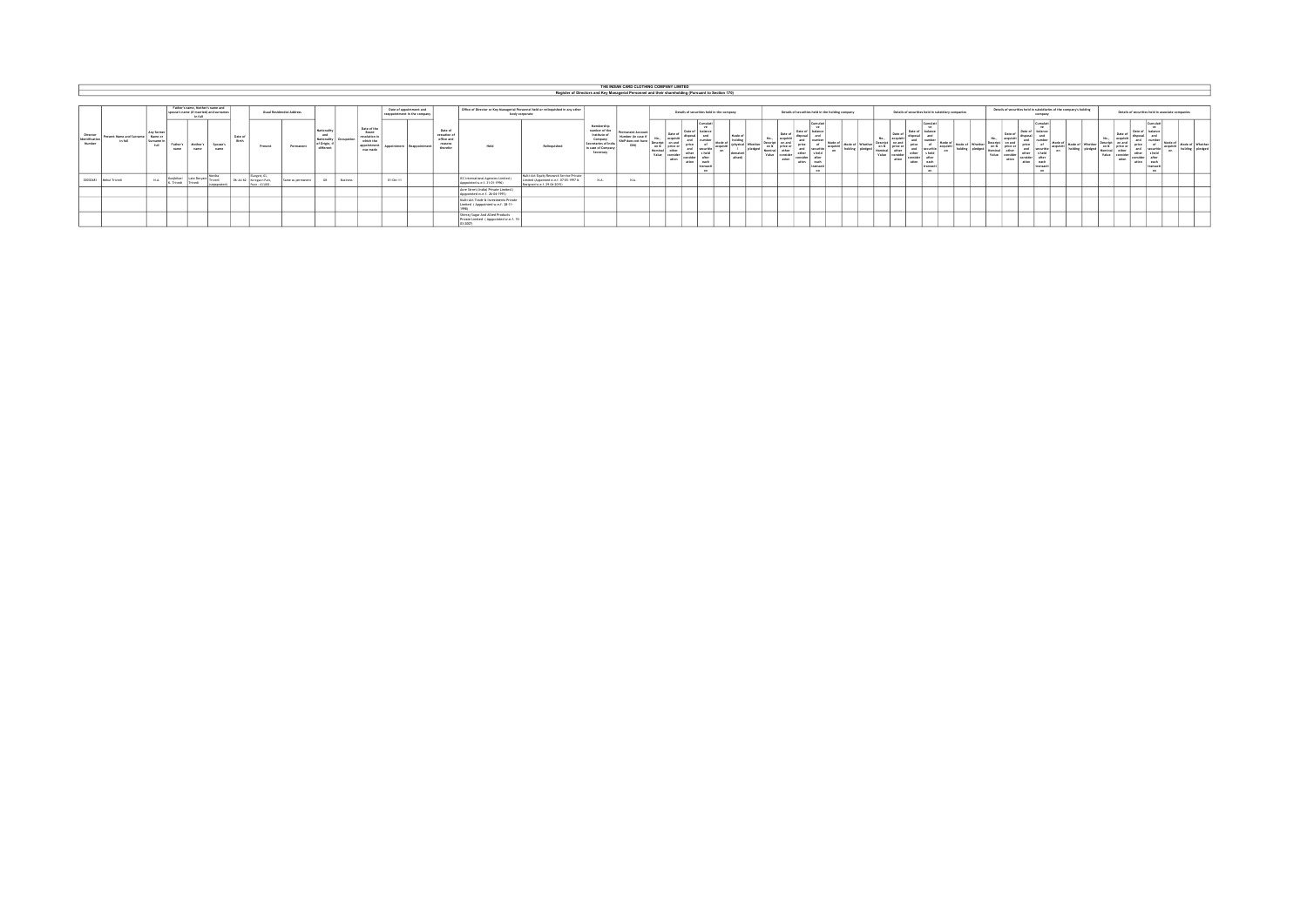|                                      |                        |                                                   |                                          |                                        |                                             |                  |                         |                                          |                           |                                                          |                 |                                                                               |                   |                                                         |                                                              |                                                                                        |                                                                                                                     |                                                                                                                | THE INDIAN CARD CLOTHING COMPANY LIMITED                               |               |                  |                                                                 |                                           |                  |               |                  |                                                                                           |                      |                |                   |                                                                             |                                                                                   |                 |                                                                                               |                                                                     |                                                                           |                 |                               |                                                                   |                                                                         |                                                   |                        |
|--------------------------------------|------------------------|---------------------------------------------------|------------------------------------------|----------------------------------------|---------------------------------------------|------------------|-------------------------|------------------------------------------|---------------------------|----------------------------------------------------------|-----------------|-------------------------------------------------------------------------------|-------------------|---------------------------------------------------------|--------------------------------------------------------------|----------------------------------------------------------------------------------------|---------------------------------------------------------------------------------------------------------------------|----------------------------------------------------------------------------------------------------------------|------------------------------------------------------------------------|---------------|------------------|-----------------------------------------------------------------|-------------------------------------------|------------------|---------------|------------------|-------------------------------------------------------------------------------------------|----------------------|----------------|-------------------|-----------------------------------------------------------------------------|-----------------------------------------------------------------------------------|-----------------|-----------------------------------------------------------------------------------------------|---------------------------------------------------------------------|---------------------------------------------------------------------------|-----------------|-------------------------------|-------------------------------------------------------------------|-------------------------------------------------------------------------|---------------------------------------------------|------------------------|
|                                      |                        |                                                   |                                          |                                        |                                             |                  |                         |                                          |                           |                                                          |                 |                                                                               |                   |                                                         |                                                              |                                                                                        |                                                                                                                     | Register of Directors and Key Managerial Personnel and their shareholding (Pursuant to Section 170)            |                                                                        |               |                  |                                                                 |                                           |                  |               |                  |                                                                                           |                      |                |                   |                                                                             |                                                                                   |                 |                                                                                               |                                                                     |                                                                           |                 |                               |                                                                   |                                                                         |                                                   |                        |
|                                      |                        |                                                   |                                          |                                        |                                             |                  |                         |                                          |                           |                                                          |                 |                                                                               |                   |                                                         |                                                              |                                                                                        |                                                                                                                     |                                                                                                                |                                                                        |               |                  |                                                                 |                                           |                  |               |                  |                                                                                           |                      |                |                   |                                                                             |                                                                                   |                 |                                                                                               |                                                                     |                                                                           |                 |                               |                                                                   |                                                                         |                                                   |                        |
|                                      |                        |                                                   |                                          | spouse's name (if married) and sumames | Father's name. Hother's name and<br>In full |                  |                         |                                          | Usual Residendial Address |                                                          |                 |                                                                               |                   | Date of appointment and<br>reappointment in the company |                                                              |                                                                                        | Office of Director or Key Hansperial Personnel held or relinquished in any other<br>body corporate                  |                                                                                                                |                                                                        |               |                  |                                                                 | Details of securities held in the company |                  |               |                  | Details of securities held in the holding company.                                        |                      |                |                   | Details of securities held in subsidiary companies                          |                                                                                   |                 |                                                                                               | Details of securities held in subsidiaries of the company's holding | company                                                                   |                 |                               |                                                                   |                                                                         | Details of securities held in associate companies |                        |
| Director<br>Identification<br>Number |                        | <b>Present Name and Sunname</b><br><b>In full</b> | Any former<br>Name or<br>General I<br>44 | Father's<br>name                       | Mother's<br>name                            | Spouse's<br>name | Date of<br><b>Block</b> | Present                                  | Permanent                 | <b>Nationality</b><br>and<br>Nationality<br>of Origin, i |                 | Date of the<br>Board<br>resolution to<br>which the<br>appointment<br>was made | <b>Separately</b> | Bearingtowen                                            | Date of<br>cessation of<br>office and<br>reasons<br>therefor | Held                                                                                   | Relinquished                                                                                                        | Membership<br>number of the<br>Institute of<br>Company<br>Secretaries of In<br>In case of Company<br>Secretary | <b>Decreased Account</b><br>Number (in case<br>KMP down not his<br>DIN | on 8<br>Value | Data of<br>ation | Cumulat<br>Data of<br>ation.<br><b>AM</b><br>transari<br>$\sim$ |                                           | Meyta<br>diserti | on b<br>Value | price o<br>ation | Cumulat<br>Date of<br>price<br>securitie<br>cebar.<br>each<br>ation.<br>transacti<br>con. | Mode of<br>acquisiti | Hode of Whethe | Jescript<br>Value | Date of<br>orice<br>on & price or<br>and.<br><b>Atha</b><br>ation<br>ation. | Curriclet<br>Mode of<br>ecounts<br>securitie<br>aach.<br>PERSON<br><b>COLLECT</b> | Mode of Whether | Data of<br>No.<br>Descript<br>price or<br>on b<br><b>APPAR</b><br>Nominal I<br>Value<br>ation | Date of<br>price<br><b>And</b><br>other<br>coralde<br>ation         | Currulat<br><b>Bancrick</b><br>a hall<br>after.<br>nar!<br><b>Fransar</b> | Mode of Whether | Dearries.<br>Nominal<br>Value | Data of<br>acoutat<br>on & price or<br>other<br>consider<br>ation | Date of<br>distant<br>and<br>price<br>and<br>other<br>consider<br>ation | securitis<br>each<br>transact<br>$-90$            | <b>Mode of Whather</b> |
|                                      | 00030481 Mehul Trivedt |                                                   | N.A.                                     | Kungkihari<br>K. Trivedi               | Late Deviant<br>Trived                      | Montle<br>Trived | 06-34-6                 | Elangeni, G<br>Koreagon Park<br>$-41100$ | Same as permanent         |                                                          | <b>Business</b> |                                                                               | 01-Oct-11         |                                                         |                                                              | ICC International Agencies Limited (<br>Appointed w.e.f. 31-01-1996)                   | Multi-Act Equity Research Service Private<br>Limited (Appointed w.e.f. 07-05-1997 b)<br>Restaned w.e.f. 29-04-2015) | N.A.                                                                                                           | N.A.                                                                   |               |                  |                                                                 |                                           |                  |               |                  |                                                                                           |                      |                |                   |                                                                             |                                                                                   |                 |                                                                                               |                                                                     |                                                                           |                 |                               |                                                                   |                                                                         |                                                   |                        |
|                                      |                        |                                                   |                                          |                                        |                                             |                  |                         |                                          |                           |                                                          |                 |                                                                               |                   |                                                         |                                                              | Acre Strret (India) Private Limited (<br>Appointed w.e.f., 26-04-1991)                 |                                                                                                                     |                                                                                                                |                                                                        |               |                  |                                                                 |                                           |                  |               |                  |                                                                                           |                      |                |                   |                                                                             |                                                                                   |                 |                                                                                               |                                                                     |                                                                           |                 |                               |                                                                   |                                                                         |                                                   |                        |
|                                      |                        |                                                   |                                          |                                        |                                             |                  |                         |                                          |                           |                                                          |                 |                                                                               |                   |                                                         |                                                              | Multi-Act Trade & Investments Private<br>Limited (Apppointed w.e.f. 28-11-             |                                                                                                                     |                                                                                                                |                                                                        |               |                  |                                                                 |                                           |                  |               |                  |                                                                                           |                      |                |                   |                                                                             |                                                                                   |                 |                                                                                               |                                                                     |                                                                           |                 |                               |                                                                   |                                                                         |                                                   |                        |
|                                      |                        |                                                   |                                          |                                        |                                             |                  |                         |                                          |                           |                                                          |                 |                                                                               |                   |                                                         |                                                              | Shivraj Sugar And Allied Products<br>Private Limited ( Apppointed w.e.f. 15<br>a soon. |                                                                                                                     |                                                                                                                |                                                                        |               |                  |                                                                 |                                           |                  |               |                  |                                                                                           |                      |                |                   |                                                                             |                                                                                   |                 |                                                                                               |                                                                     |                                                                           |                 |                               |                                                                   |                                                                         |                                                   |                        |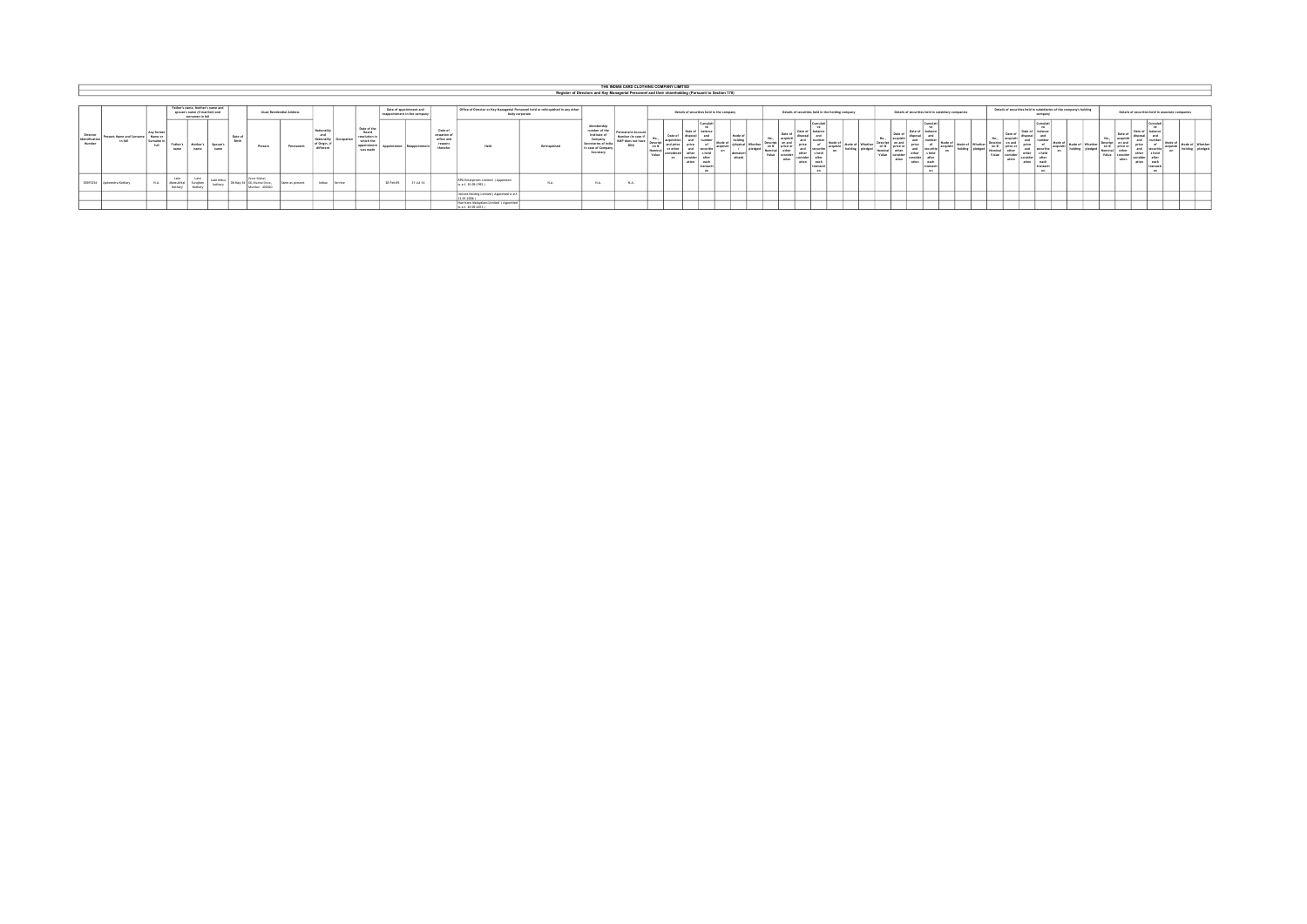|                                                  |                           |                                            |                              |                                                                                        |                        |                         |                                                                        |                           |                                                              |                |                                                                              |                               |                         |                                                              |                                                                                                    |            |                                                                                                                 |                                                                   |                          | THE INDIAN CARD CLOTHING COMPANY LIMITED |                                |                                                                                         |                   |       |                                    |                                           |                                                   |                 |       |                                     |                                                                                                    |                      |                                  |                        |                            |                  |          |                                                                     |                                                                                             |                                                        |                                                      |  |
|--------------------------------------------------|---------------------------|--------------------------------------------|------------------------------|----------------------------------------------------------------------------------------|------------------------|-------------------------|------------------------------------------------------------------------|---------------------------|--------------------------------------------------------------|----------------|------------------------------------------------------------------------------|-------------------------------|-------------------------|--------------------------------------------------------------|----------------------------------------------------------------------------------------------------|------------|-----------------------------------------------------------------------------------------------------------------|-------------------------------------------------------------------|--------------------------|------------------------------------------|--------------------------------|-----------------------------------------------------------------------------------------|-------------------|-------|------------------------------------|-------------------------------------------|---------------------------------------------------|-----------------|-------|-------------------------------------|----------------------------------------------------------------------------------------------------|----------------------|----------------------------------|------------------------|----------------------------|------------------|----------|---------------------------------------------------------------------|---------------------------------------------------------------------------------------------|--------------------------------------------------------|------------------------------------------------------|--|
|                                                  |                           |                                            |                              |                                                                                        |                        |                         |                                                                        |                           |                                                              |                |                                                                              |                               |                         |                                                              |                                                                                                    |            | Register of Directors and Key Managerial Personnel and their shareholding (Pursuant to Section 170)             |                                                                   |                          |                                          |                                |                                                                                         |                   |       |                                    |                                           |                                                   |                 |       |                                     |                                                                                                    |                      |                                  |                        |                            |                  |          |                                                                     |                                                                                             |                                                        |                                                      |  |
|                                                  |                           |                                            |                              |                                                                                        |                        |                         |                                                                        |                           |                                                              |                |                                                                              |                               |                         |                                                              |                                                                                                    |            |                                                                                                                 |                                                                   |                          |                                          |                                |                                                                                         |                   |       |                                    |                                           |                                                   |                 |       |                                     |                                                                                                    |                      |                                  |                        |                            |                  |          |                                                                     |                                                                                             |                                                        |                                                      |  |
|                                                  |                           |                                            |                              | Father's name. Mother's name and<br>spouse's name (if married) and<br>surnames in full |                        |                         |                                                                        | Usual Residendial Address |                                                              |                |                                                                              | responsintment in the company | Date of appointment and |                                                              | Office of Director or Key Managerial Personnel held or relinquished in any other<br>body corporate |            |                                                                                                                 |                                                                   |                          |                                          |                                | Details of securities held in the company                                               |                   |       |                                    |                                           | Details of securities held in the holding company |                 |       |                                     | Details of securities held in subsidiary companies                                                 |                      |                                  |                        |                            |                  | company  | Details of securities held in subsidiaries of the company's holding |                                                                                             |                                                        | Details of securities held in associate companies    |  |
| Director<br><sup>1</sup> Mentification<br>Number | Present Name and Surname  | Any former<br>Name or<br>General I<br>Act. | Father<br>name               | Mother's<br>name                                                                       | <b>Comme's</b><br>name | Date of<br><b>Black</b> | Present                                                                | Permanent                 | Nationali<br>and<br>Nationality<br>of Origin, I<br>different |                | Date of the<br>Board<br>resolution !<br>which the<br>appointment<br>was made | modatmark                     |                         | Date of<br>cessation of<br>office and<br>reasons<br>therefor | <b>Made</b>                                                                                        | Retnauthed | Membership<br>number of the<br>Institute of<br>Company<br>Secretaries of in-<br>In case of Company<br>Secretary | Permanent Account<br>Number (in case)<br>KMP does not ha<br>DON'T | co <sup>n</sup><br>Value |                                          | Date of<br>consider.<br>atten. | <b>Septime</b><br>halancy<br>Mode c<br><b>After</b><br>each<br><b>IFAFAAC</b><br>$\sim$ | Mode o<br>allsed) | Value | Date of<br>cab I ariza or<br>ation | Data of<br>orice<br><b>Athar</b><br>ation | acquisiti<br>nart                                 | Mode of Whether | Value | Data of<br>, on & arice or<br>ation | Completi<br>l Date o<br>price<br>securitie<br>and<br>cable of<br>ation.<br>anch.<br><b>Fransar</b> | Mode of<br>acquisiti | Mode of Whether<br><b>MARINE</b> | <b>Safety</b><br>Value | Data o<br>price o<br>ation | Date of<br>ation | <b>A</b> |                                                                     | Data of<br>Descript on any<br>on & price of<br>Nominal I<br>other<br><b>Wednes</b><br>ation | Date of<br>Gancy<br>orice<br>other<br>comiden<br>ation | <b>MA</b><br>afte<br>each<br><b>CERRAC</b><br>$\sim$ |  |
| 00015254                                         | <b>Justeendra Kothary</b> | N.A.                                       | Labe<br>Margueria<br>Kothary | Late<br>Surajben<br>Kothery                                                            | <b>Seattune</b>        |                         | <b>Texas Mahal</b><br>OS-May-34   G6, Marine Drive,<br>Mumbai - 400020 | Same as present           | Indian                                                       | <b>Service</b> |                                                                              | 20-Feb-85                     | 31-34-14                |                                                              | RPG Enterprises Limited (Appointed<br>M.o.f. 30-09-1992 )                                          | N.A.       | N.A.                                                                                                            | N.A.                                                              |                          |                                          |                                |                                                                                         |                   |       |                                    |                                           |                                                   |                 |       |                                     |                                                                                                    |                      |                                  |                        |                            |                  |          |                                                                     |                                                                                             |                                                        |                                                      |  |
|                                                  |                           |                                            |                              |                                                                                        |                        |                         |                                                                        |                           |                                                              |                |                                                                              |                               |                         |                                                              | Instant Holding Limited / Appointed w.e.<br>2.01.2006                                              |            |                                                                                                                 |                                                                   |                          |                                          |                                |                                                                                         |                   |       |                                    |                                           |                                                   |                 |       |                                     |                                                                                                    |                      |                                  |                        |                            |                  |          |                                                                     |                                                                                             |                                                        |                                                      |  |
|                                                  |                           |                                            |                              |                                                                                        |                        |                         |                                                                        |                           |                                                              |                |                                                                              |                               |                         |                                                              | Harrison Halayalam Limited (Appointed<br>c.e.f. 30-05-2013                                         |            |                                                                                                                 |                                                                   |                          |                                          |                                |                                                                                         |                   |       |                                    |                                           |                                                   |                 |       |                                     |                                                                                                    |                      |                                  |                        |                            |                  |          |                                                                     |                                                                                             |                                                        |                                                      |  |

w.e.f. 30-05-2013 )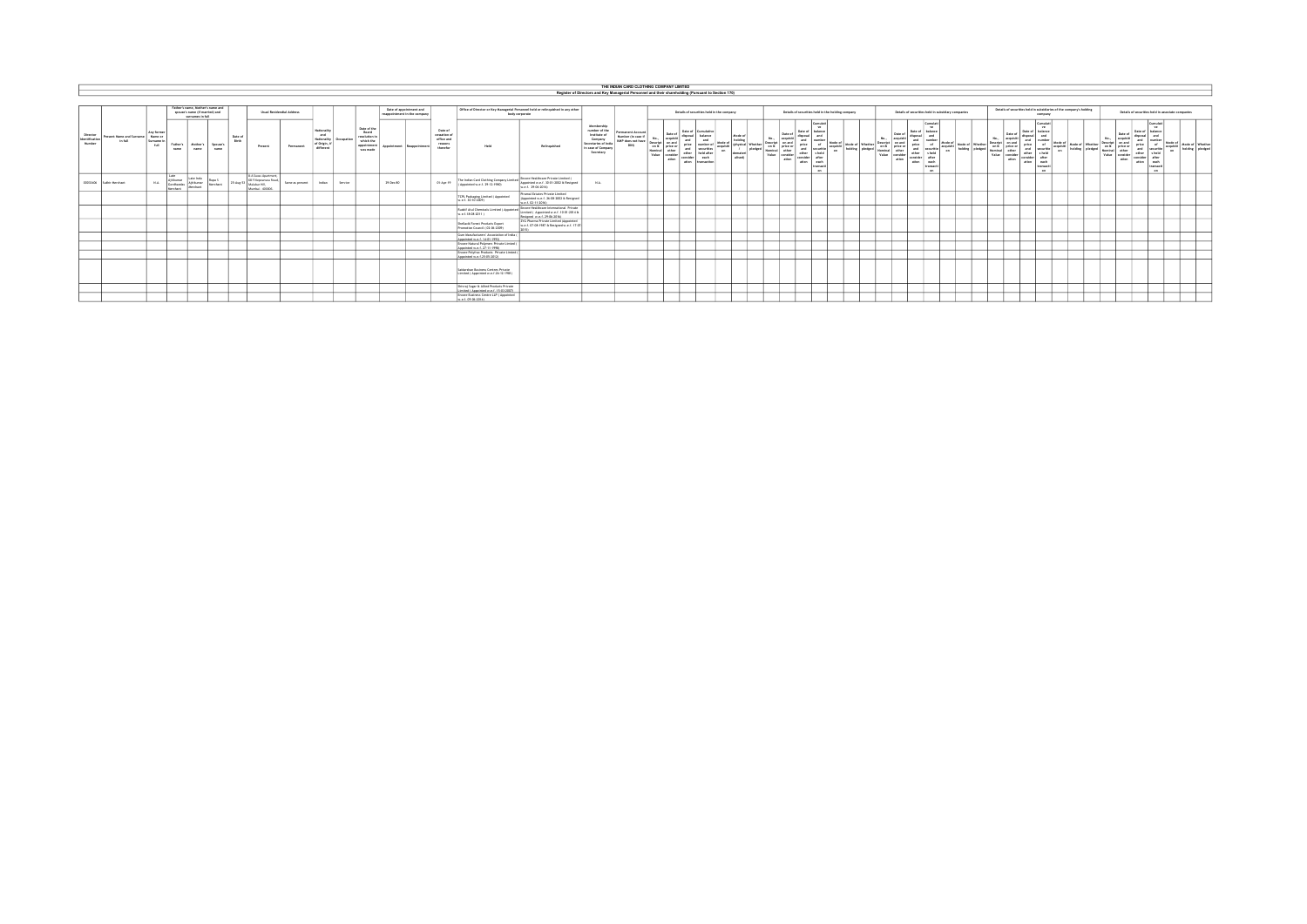|                                             |                                      |                                                       |                                            |                                                                                        |                    |                  |                                                                                  |                           |                                                                              |           |                                                                               |           |                                                         |                                                              |                                                                                                    |                                                                                                                    |                                                                                                                  | THE INDIAN CARD CLOTHING COMPANY LIMITED                            |                                                               |                                                                                                                      |                                                                                                      |                            |                                                                                                     |                                                                                                                                                                                                                        |                                                                                                                                                                                            |                                                                               |     |                                                                                                                                                                                                                                                                      |                                                                                  |                                                                                                                                       |                    |                           |                                                                                          |                                                                                                                                    |                                                                                           |                                  |                 |                                                                           |                               |                                                                                                                                                                                                                     |                             |                                    |
|---------------------------------------------|--------------------------------------|-------------------------------------------------------|--------------------------------------------|----------------------------------------------------------------------------------------|--------------------|------------------|----------------------------------------------------------------------------------|---------------------------|------------------------------------------------------------------------------|-----------|-------------------------------------------------------------------------------|-----------|---------------------------------------------------------|--------------------------------------------------------------|----------------------------------------------------------------------------------------------------|--------------------------------------------------------------------------------------------------------------------|------------------------------------------------------------------------------------------------------------------|---------------------------------------------------------------------|---------------------------------------------------------------|----------------------------------------------------------------------------------------------------------------------|------------------------------------------------------------------------------------------------------|----------------------------|-----------------------------------------------------------------------------------------------------|------------------------------------------------------------------------------------------------------------------------------------------------------------------------------------------------------------------------|--------------------------------------------------------------------------------------------------------------------------------------------------------------------------------------------|-------------------------------------------------------------------------------|-----|----------------------------------------------------------------------------------------------------------------------------------------------------------------------------------------------------------------------------------------------------------------------|----------------------------------------------------------------------------------|---------------------------------------------------------------------------------------------------------------------------------------|--------------------|---------------------------|------------------------------------------------------------------------------------------|------------------------------------------------------------------------------------------------------------------------------------|-------------------------------------------------------------------------------------------|----------------------------------|-----------------|---------------------------------------------------------------------------|-------------------------------|---------------------------------------------------------------------------------------------------------------------------------------------------------------------------------------------------------------------|-----------------------------|------------------------------------|
|                                             |                                      |                                                       |                                            |                                                                                        |                    |                  |                                                                                  |                           |                                                                              |           |                                                                               |           |                                                         |                                                              |                                                                                                    |                                                                                                                    | Register of Directors and Key Managerial Personnel and their shareholding (Pursuant to Section 170)              |                                                                     |                                                               |                                                                                                                      |                                                                                                      |                            |                                                                                                     |                                                                                                                                                                                                                        |                                                                                                                                                                                            |                                                                               |     |                                                                                                                                                                                                                                                                      |                                                                                  |                                                                                                                                       |                    |                           |                                                                                          |                                                                                                                                    |                                                                                           |                                  |                 |                                                                           |                               |                                                                                                                                                                                                                     |                             |                                    |
|                                             |                                      |                                                       |                                            |                                                                                        |                    |                  |                                                                                  |                           |                                                                              |           |                                                                               |           |                                                         |                                                              |                                                                                                    |                                                                                                                    |                                                                                                                  |                                                                     |                                                               |                                                                                                                      |                                                                                                      |                            |                                                                                                     |                                                                                                                                                                                                                        |                                                                                                                                                                                            |                                                                               |     |                                                                                                                                                                                                                                                                      |                                                                                  |                                                                                                                                       |                    |                           |                                                                                          |                                                                                                                                    |                                                                                           |                                  |                 |                                                                           |                               |                                                                                                                                                                                                                     |                             |                                    |
|                                             |                                      |                                                       |                                            | Father's name. Mother's name and<br>spouse's name (if married) and<br>surnames to full |                    |                  |                                                                                  | Usual Residendial Address |                                                                              |           |                                                                               |           | Date of appointment and<br>reappointment in the company |                                                              | Office of Director or Key Managerial Personnel held or relinquished in any other<br>body corporate |                                                                                                                    |                                                                                                                  |                                                                     |                                                               |                                                                                                                      | Details of securities held in the company                                                            |                            |                                                                                                     |                                                                                                                                                                                                                        |                                                                                                                                                                                            | Details of securities held in the holding company                             |     |                                                                                                                                                                                                                                                                      |                                                                                  | Details of securities held in subsidiary companies                                                                                    |                    |                           |                                                                                          |                                                                                                                                    | Details of securities held in subsidiaries of the company's holding<br>company            |                                  |                 |                                                                           |                               | Details of securities held in associate companies                                                                                                                                                                   |                             |                                    |
| Director<br><b>Identification</b><br>Number | Present Name and Surname<br>to full. | Any former<br>Name or<br>Surname In<br><b>Address</b> | Father's<br>name                           | Mother's<br>name                                                                       | Spouse's<br>name   | Date of<br>Birth | Present                                                                          | Permanent                 | <b>Nationality</b><br>and<br><b>Nationality</b><br>of Origin, I<br>different | ccupation | Date of the<br>Board<br>resolution in<br>which the<br>appointment<br>was made |           | <b><i><u>Baannointena</u></i></b>                       | Date of<br>cessation of<br>office and<br>reasons<br>therefor | Held                                                                                               | Retinguished                                                                                                       | Membership<br>number of the<br>Institute of<br>Company<br>Secretaries of Indi<br>In case of Cornoam<br>Secretary | rmanent Account<br>Number (in case of<br>KNP does not have<br>DON'T | Mrs.<br>Descript  <br>on &<br>Nominal other<br>Value consider | Date of<br>discossi<br>acquisiti<br>and<br>on and<br>price<br>and<br>orice or<br>other<br>consider<br>ation<br>ation | Date of Cumulative<br>balance<br>and<br>number of<br>securities<br>held after<br>each<br>transaction | Mode of<br>acquisiti<br>on | Mode of<br>holding<br><b>Introduce!</b> Whether<br>pledged<br>$\overline{1}$<br>dematers<br>alterdi | Date of<br>No.,<br>acquisiti<br>Descript<br>on and<br>$\begin{array}{ c c } \hline \text{on } \hbar & \text{price or} \\ \text{Normal} & \text{other} \\ \hline \text{Value} & \text{coordinate} \end{array}$<br>ation | Cursulati<br>Date of balance<br>disposal<br>and<br><b>Austrian</b><br>orice<br>of<br>and<br>securitie<br>a held<br>other<br>after<br>consider<br>ation.<br>and.<br>transacti<br><b>COL</b> | Mode of<br><b>Hode of Whether</b><br>acquisité :<br>holding pledged<br>$\sim$ | No. | Date of<br>acquisiti<br>$\begin{tabular}{ c c } \hline \textbf{D}\texttt{excipt} & \textbf{on and} \\ \hline \textbf{on } \textbf{B} & \textbf{price or} \\ \textbf{Normal} & \textbf{other} \\ \textbf{Value} & \textbf{conulder} \\ \hline \end{tabular}$<br>ation | Date of<br>disposal<br>and<br>price<br>and<br>other<br>consider after<br>antium. | Comodat<br><b>SMA</b><br>balance<br>$\overline{a}$<br>armitett<br>I securitie<br>diff.<br>s held<br><b>Anch</b><br>transact<br>$\sim$ | Mode of<br>holding | <b>Whether</b><br>oledged | Date of<br>No.<br>Descript on and<br>on &<br>price or<br>Nominal other<br>Value consider | Date of balance<br>disposal I<br>scoulat!<br>$\frac{\text{and}}{\text{prlos}}$<br>other<br>consider <sup>1</sup><br>ation<br>ation | Cumulati<br>reserves<br>$-$<br>securitie<br>s held<br>after<br>each<br>transact<br>$\sim$ | Mode a<br>Annual state<br>$\sim$ | holding oledged | No<br>Descript on and<br>on & price or<br>Nominal other<br>Value consider | Date of<br>acquisiti<br>ation | <b>Computer</b><br><b>MAL</b><br>balance<br>Date of<br>disposal<br>and<br>and<br>price<br>number<br>of<br>and<br>securitie<br>other<br>s held<br>after<br>consider<br>ation<br>each<br>transacti<br>00 <sub>0</sub> | Mode of<br>equity<br>$\sim$ | Hode of Whether<br>holding diedeed |
|                                             | 00033406 Suthir Herchard             | N.A.                                                  | Late<br>Athkumar<br>Gordhandas<br>Marchard | Late Indu<br>Ajibkumar<br>Herchant                                                     | Rups 5<br>Merchant | 25-Aug-53        | 8-A Suvas Apartment.<br>GB F Negearaea Road<br>Malabar Hill.<br>Mumbai - 400006. | Same as present           | Indian                                                                       | Service   |                                                                               | 29-Dec-80 |                                                         | 01-Apr-19                                                    | The Indian Card Clothing Company Limited<br>Appointed w.e.f. 29-12-1980)                           | Encore Healthcare Private Limited (<br>Appointed w.e.f. 30-01-2002 & Restaned<br>w.e.f. 29-06-2016)                | N.A.                                                                                                             |                                                                     |                                                               |                                                                                                                      |                                                                                                      |                            |                                                                                                     |                                                                                                                                                                                                                        |                                                                                                                                                                                            |                                                                               |     |                                                                                                                                                                                                                                                                      |                                                                                  |                                                                                                                                       |                    |                           |                                                                                          |                                                                                                                                    |                                                                                           |                                  |                 |                                                                           |                               |                                                                                                                                                                                                                     |                             |                                    |
|                                             |                                      |                                                       |                                            |                                                                                        |                    |                  |                                                                                  |                           |                                                                              |           |                                                                               |           |                                                         |                                                              | TCPL Packaging Limited / Appointed<br>M.e.f. 30-10-2009)                                           | Piramal Estates Private Limited<br>(Appointed w.e.f. 26-08-2002 & Restaned<br>w.e.f. 02-11-2016)                   |                                                                                                                  |                                                                     |                                                               |                                                                                                                      |                                                                                                      |                            |                                                                                                     |                                                                                                                                                                                                                        |                                                                                                                                                                                            |                                                                               |     |                                                                                                                                                                                                                                                                      |                                                                                  |                                                                                                                                       |                    |                           |                                                                                          |                                                                                                                                    |                                                                                           |                                  |                 |                                                                           |                               |                                                                                                                                                                                                                     |                             |                                    |
|                                             |                                      |                                                       |                                            |                                                                                        |                    |                  |                                                                                  |                           |                                                                              |           |                                                                               |           |                                                         |                                                              | Rudolf Atul Chemicals Limited / Appointed<br>M.A.18-08-2011                                        | Encore Healthcare International Private<br>Limited ( Appointed w.e.f. 10-01-2014 b.<br>Restaned w.e.f. 29-06-2016) |                                                                                                                  |                                                                     |                                                               |                                                                                                                      |                                                                                                      |                            |                                                                                                     |                                                                                                                                                                                                                        |                                                                                                                                                                                            |                                                                               |     |                                                                                                                                                                                                                                                                      |                                                                                  |                                                                                                                                       |                    |                           |                                                                                          |                                                                                                                                    |                                                                                           |                                  |                 |                                                                           |                               |                                                                                                                                                                                                                     |                             |                                    |
|                                             |                                      |                                                       |                                            |                                                                                        |                    |                  |                                                                                  |                           |                                                                              |           |                                                                               |           |                                                         |                                                              | Shellach Forest Products Export<br>Promotion Council ( 02-06-2009)                                 | ZYG Pharma Private Limited (Appointed)<br>w.e.f. 07-08-1987 & Resigned w.e.f. 17-07-                               |                                                                                                                  |                                                                     |                                                               |                                                                                                                      |                                                                                                      |                            |                                                                                                     |                                                                                                                                                                                                                        |                                                                                                                                                                                            |                                                                               |     |                                                                                                                                                                                                                                                                      |                                                                                  |                                                                                                                                       |                    |                           |                                                                                          |                                                                                                                                    |                                                                                           |                                  |                 |                                                                           |                               |                                                                                                                                                                                                                     |                             |                                    |
|                                             |                                      |                                                       |                                            |                                                                                        |                    |                  |                                                                                  |                           |                                                                              |           |                                                                               |           |                                                         |                                                              | Gum Manufacturers' Association of India (<br>Appointed w.e.f. 14-01-1993)                          |                                                                                                                    |                                                                                                                  |                                                                     |                                                               |                                                                                                                      |                                                                                                      |                            |                                                                                                     |                                                                                                                                                                                                                        |                                                                                                                                                                                            |                                                                               |     |                                                                                                                                                                                                                                                                      |                                                                                  |                                                                                                                                       |                    |                           |                                                                                          |                                                                                                                                    |                                                                                           |                                  |                 |                                                                           |                               |                                                                                                                                                                                                                     |                             |                                    |
|                                             |                                      |                                                       |                                            |                                                                                        |                    |                  |                                                                                  |                           |                                                                              |           |                                                                               |           |                                                         |                                                              | Encore Natural Polymers Private Limted<br>popinted w.e.f. 27-11-1998)                              |                                                                                                                    |                                                                                                                  |                                                                     |                                                               |                                                                                                                      |                                                                                                      |                            |                                                                                                     |                                                                                                                                                                                                                        |                                                                                                                                                                                            |                                                                               |     |                                                                                                                                                                                                                                                                      |                                                                                  |                                                                                                                                       |                    |                           |                                                                                          |                                                                                                                                    |                                                                                           |                                  |                 |                                                                           |                               |                                                                                                                                                                                                                     |                             |                                    |
|                                             |                                      |                                                       |                                            |                                                                                        |                    |                  |                                                                                  |                           |                                                                              |           |                                                                               |           |                                                         |                                                              | Encore Polyfrac Products Private Limted (<br>spointed w.e.f.25-05-2012                             |                                                                                                                    |                                                                                                                  |                                                                     |                                                               |                                                                                                                      |                                                                                                      |                            |                                                                                                     |                                                                                                                                                                                                                        |                                                                                                                                                                                            |                                                                               |     |                                                                                                                                                                                                                                                                      |                                                                                  |                                                                                                                                       |                    |                           |                                                                                          |                                                                                                                                    |                                                                                           |                                  |                 |                                                                           |                               |                                                                                                                                                                                                                     |                             |                                    |
|                                             |                                      |                                                       |                                            |                                                                                        |                    |                  |                                                                                  |                           |                                                                              |           |                                                                               |           |                                                         |                                                              | Saidarshan Business Centres Private<br>Limited (Appointed w.e.f.26-12-1981)                        |                                                                                                                    |                                                                                                                  |                                                                     |                                                               |                                                                                                                      |                                                                                                      |                            |                                                                                                     |                                                                                                                                                                                                                        |                                                                                                                                                                                            |                                                                               |     |                                                                                                                                                                                                                                                                      |                                                                                  |                                                                                                                                       |                    |                           |                                                                                          |                                                                                                                                    |                                                                                           |                                  |                 |                                                                           |                               |                                                                                                                                                                                                                     |                             |                                    |
|                                             |                                      |                                                       |                                            |                                                                                        |                    |                  |                                                                                  |                           |                                                                              |           |                                                                               |           |                                                         |                                                              | Shivral Super & Allied Products Private<br>Limited ( Appointed w.e.f. 15-03-2007)                  |                                                                                                                    |                                                                                                                  |                                                                     |                                                               |                                                                                                                      |                                                                                                      |                            |                                                                                                     |                                                                                                                                                                                                                        |                                                                                                                                                                                            |                                                                               |     |                                                                                                                                                                                                                                                                      |                                                                                  |                                                                                                                                       |                    |                           |                                                                                          |                                                                                                                                    |                                                                                           |                                  |                 |                                                                           |                               |                                                                                                                                                                                                                     |                             |                                    |
|                                             |                                      |                                                       |                                            |                                                                                        |                    |                  |                                                                                  |                           |                                                                              |           |                                                                               |           |                                                         |                                                              | Encore Business Centre LLP (Appointed<br>M.O.F. 09-06-2014)                                        |                                                                                                                    |                                                                                                                  |                                                                     |                                                               |                                                                                                                      |                                                                                                      |                            |                                                                                                     |                                                                                                                                                                                                                        |                                                                                                                                                                                            |                                                                               |     |                                                                                                                                                                                                                                                                      |                                                                                  |                                                                                                                                       |                    |                           |                                                                                          |                                                                                                                                    |                                                                                           |                                  |                 |                                                                           |                               |                                                                                                                                                                                                                     |                             |                                    |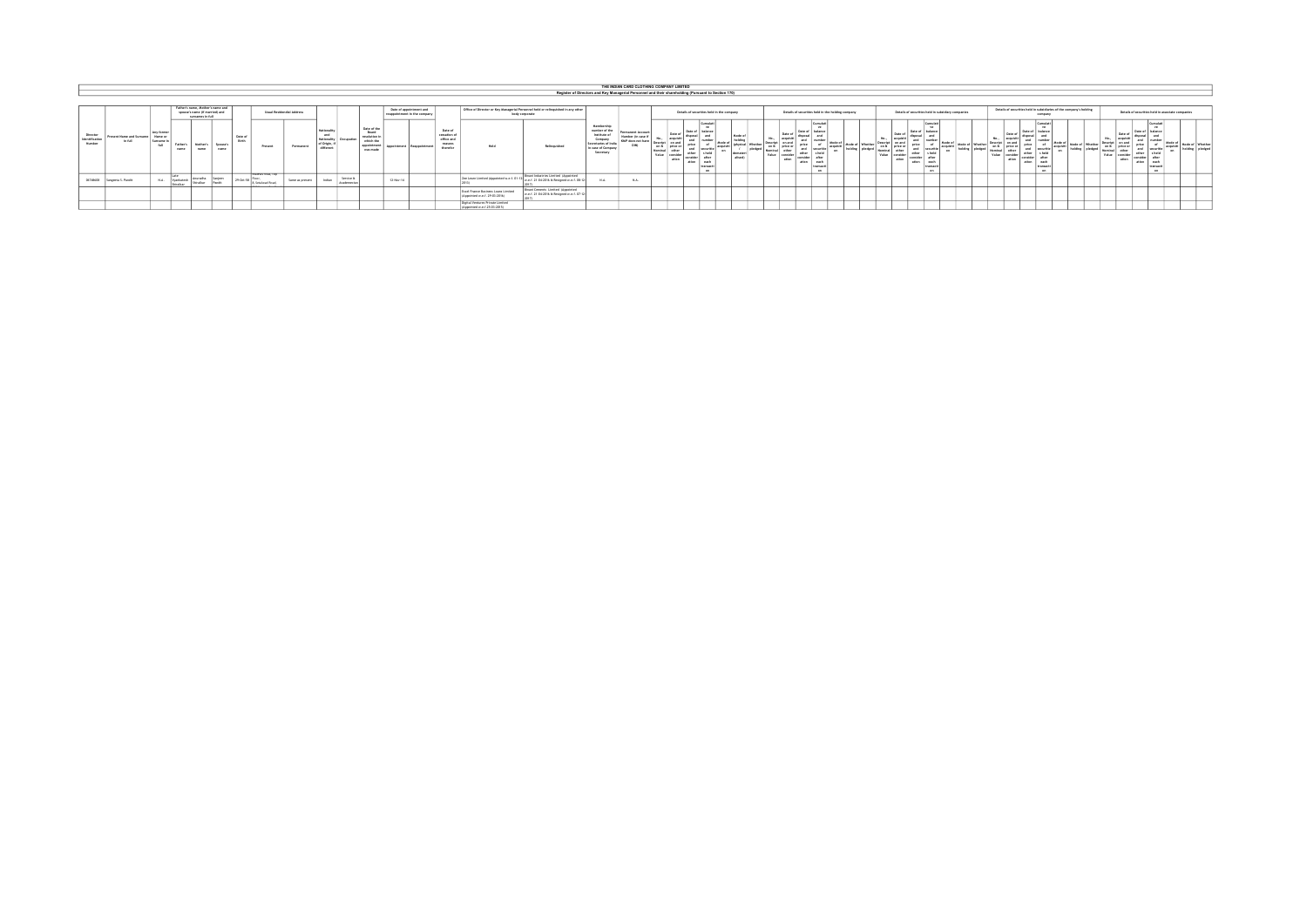|                                        |                                               |                                            |                                  |                                                    |                  |                         |                                                        |                                   |                                                            |                        |                                                                             |                                 |                         |                                                              |                                                                      |                                                                                                    |                                                                                                                   |                                                                    | THE INDIAN CARD CLOTHING COMPANY LIMITED                                                            |                                                                 |                           |                            |                                                    |                                                      |                                                                    |                                                   |                                                |                 |                                                          |                                                                                                |                                        |  |                                     |                                                                    |                                                                                                           |                        |              |
|----------------------------------------|-----------------------------------------------|--------------------------------------------|----------------------------------|----------------------------------------------------|------------------|-------------------------|--------------------------------------------------------|-----------------------------------|------------------------------------------------------------|------------------------|-----------------------------------------------------------------------------|---------------------------------|-------------------------|--------------------------------------------------------------|----------------------------------------------------------------------|----------------------------------------------------------------------------------------------------|-------------------------------------------------------------------------------------------------------------------|--------------------------------------------------------------------|-----------------------------------------------------------------------------------------------------|-----------------------------------------------------------------|---------------------------|----------------------------|----------------------------------------------------|------------------------------------------------------|--------------------------------------------------------------------|---------------------------------------------------|------------------------------------------------|-----------------|----------------------------------------------------------|------------------------------------------------------------------------------------------------|----------------------------------------|--|-------------------------------------|--------------------------------------------------------------------|-----------------------------------------------------------------------------------------------------------|------------------------|--------------|
|                                        |                                               |                                            |                                  |                                                    |                  |                         |                                                        |                                   |                                                            |                        |                                                                             |                                 |                         |                                                              |                                                                      |                                                                                                    |                                                                                                                   |                                                                    | Register of Directors and Key Managerial Personnel and their shareholding (Pursuant to Section 170) |                                                                 |                           |                            |                                                    |                                                      |                                                                    |                                                   |                                                |                 |                                                          |                                                                                                |                                        |  |                                     |                                                                    |                                                                                                           |                        |              |
|                                        |                                               |                                            |                                  |                                                    |                  |                         |                                                        |                                   |                                                            |                        |                                                                             |                                 |                         |                                                              |                                                                      |                                                                                                    |                                                                                                                   |                                                                    |                                                                                                     |                                                                 |                           |                            |                                                    |                                                      |                                                                    |                                                   |                                                |                 |                                                          |                                                                                                |                                        |  |                                     |                                                                    |                                                                                                           |                        |              |
|                                        |                                               |                                            | Father's name, Hother's name and | spouse's name (if married) and<br>surnames in full |                  |                         |                                                        | <b>Hough Basiclandial Address</b> |                                                            |                        |                                                                             | responsibilities in the company | Date of appointment and |                                                              |                                                                      | Office of Director or Key Managerial Personnel held or relinquished in any other<br>body corporate |                                                                                                                   |                                                                    |                                                                                                     | Details of securities held in the company                       |                           |                            | Details of securities held in the holding company. |                                                      |                                                                    | DataDa of securities held in subsidiary companies |                                                |                 |                                                          | Details of securities held in subsidiaries of the company's holding                            | company                                |  |                                     | Datails of securities hald in associate companie                   |                                                                                                           |                        |              |
| Director<br>  Identification<br>Number | Present Name and Surname   Name or<br>In full | Any former<br>Surname in<br><b>Address</b> | Father's<br>name                 | Mother's<br>name                                   | Spouse's<br>name | Date of<br><b>Birth</b> | Present                                                | Permanent                         | Nationali<br>and<br>Nationality<br>of Origin,<br>different |                        | Date of the<br>Board<br>resolution (<br>which the<br>appointmen<br>was made |                                 |                         | Date of<br>cessation of<br>office and<br>reasons<br>therefor | Held                                                                 | Relinquished                                                                                       | Membership<br>number of the<br>Institute of<br>Company<br>Secretaries of India<br>In case of Company<br>Secretary | Permanent Account<br>Number (in case)<br>KMD down net have<br>DINI | Data of<br>on ft<br>other<br><b>Makes</b><br>analder<br>stion<br>ation                              | Currulat<br>Date of balance<br>after<br><b>AMPS</b><br>transart | Mode o<br>demates<br>shed | neira or<br>Value<br>ation | Date of<br>price<br>securitie<br>ation<br>anch.    | .   Mode of   Whether<br><b>nisclass</b><br>halding. | <b>AC OUT</b><br>Departure<br>orice o<br>Monday<br>Value.<br>ation | Date of<br>orice<br>and<br>other<br>ation.        | a hall<br>and<br><b>Brannart</b><br><b>COL</b> | Mode of Whether | No<br><b>Descript</b><br>on b<br>Nominal<br><b>Value</b> | Date of<br>Date of<br>orice<br>price or<br>and<br>other<br>other<br>consider<br>ation<br>ation | securitie<br>each<br>PERMISS<br>$\sim$ |  | on & price or<br>Nominal I<br>Value | Date of<br>Data of<br>price<br>other<br>coralder<br>ation<br>ation | <b>Service</b><br>18<br>balanc<br>- of<br>securitie<br>s ha<br>after<br>each<br><b>Transari</b><br>$\sim$ | Lacquisit <sup>*</sup> | Mode of Whet |
| 06748608                               | Sangeeta S. Pandit                            | N.A.                                       | <b>Americans</b>                 | American<br><b>Detroit boar</b>                    | Danatin          |                         | <b><i>Maria Maria Laborer</i></b><br>R. Setalwad Road. | Same as present                   | Indian                                                     | Service &<br>Arademort |                                                                             | 12-Nov-14                       |                         |                                                              | Zee Learn Limited (Appointed w.e.f. 01-12                            | <b>Binani Industries Limited (Appointed)</b><br>w.e.f. 21-04-2016 & Resigned w.e.f. 05-17          | <b>NA</b>                                                                                                         | N.A.                                                               |                                                                                                     |                                                                 |                           |                            |                                                    |                                                      |                                                                    |                                                   |                                                |                 |                                                          |                                                                                                |                                        |  |                                     |                                                                    |                                                                                                           |                        |              |
|                                        |                                               |                                            |                                  |                                                    |                  |                         |                                                        |                                   |                                                            |                        |                                                                             |                                 |                         |                                                              | Essel France Business Loans Limited<br>(Appointed w.e.f. 29-03-2016) | <b>Binani Cements Limited (Appointed</b><br>w.e.f. 21-04-2016 & Resigned w.e.f. 07-1"              |                                                                                                                   |                                                                    |                                                                                                     |                                                                 |                           |                            |                                                    |                                                      |                                                                    |                                                   |                                                |                 |                                                          |                                                                                                |                                        |  |                                     |                                                                    |                                                                                                           |                        |              |
|                                        |                                               |                                            |                                  |                                                    |                  |                         |                                                        |                                   |                                                            |                        |                                                                             |                                 |                         |                                                              | Digital Ventures Private Limited<br>(Appointed w.e.f.25-03-2015)     |                                                                                                    |                                                                                                                   |                                                                    |                                                                                                     |                                                                 |                           |                            |                                                    |                                                      |                                                                    |                                                   |                                                |                 |                                                          |                                                                                                |                                        |  |                                     |                                                                    |                                                                                                           |                        |              |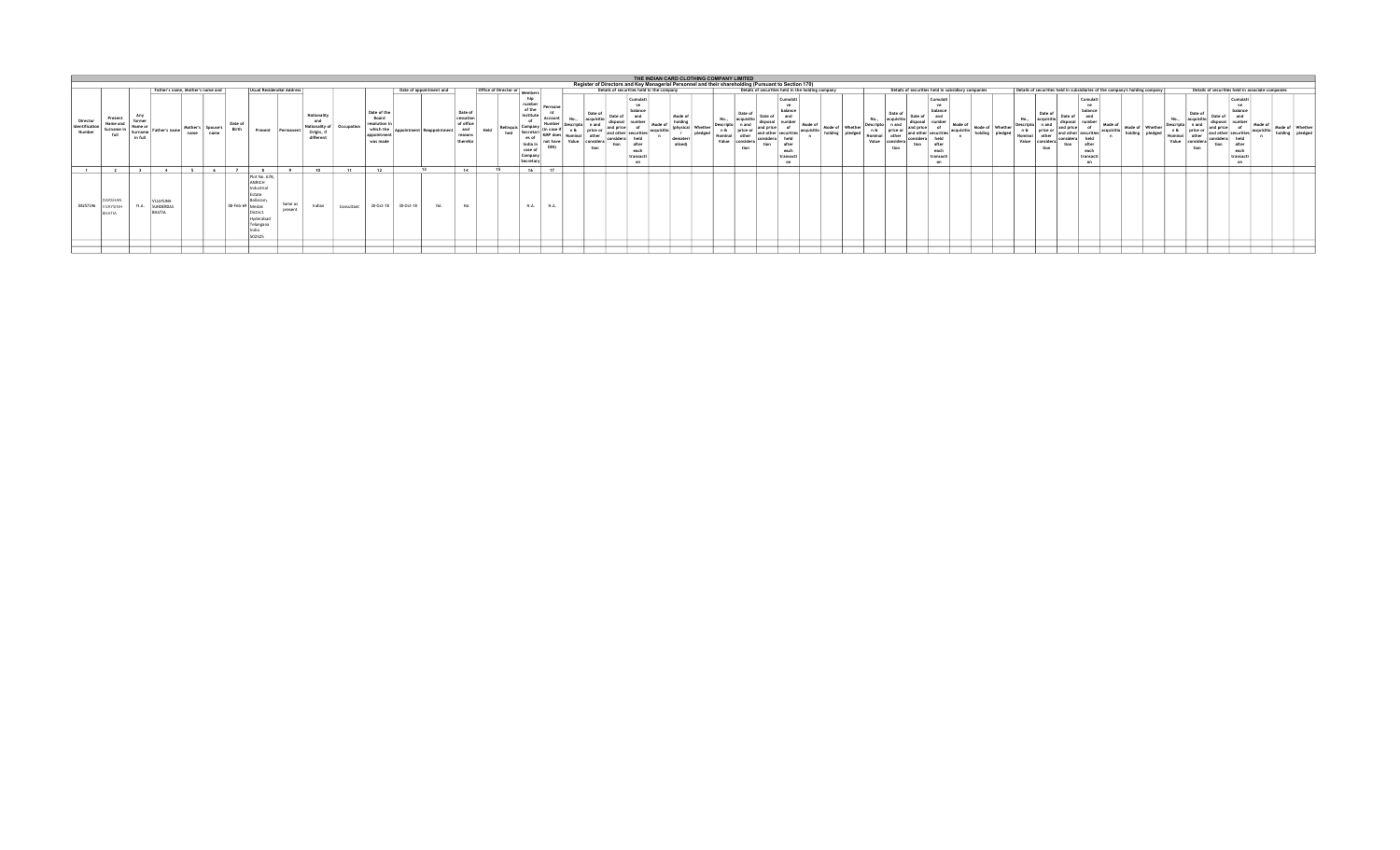|                                      |                                          |                    |                                     |        |      |                         |                                                                                                          |                           |                                                                 |            |                                                                            |                     |                         |                                                                        |                               |                                       |         |                                                                                                     |                                                              |                    | THE INDIAN CARD CLOTHING COMPANY LIMITED |                            |                                                           |                                                   |                |                          |                                                    |                               |                |       |                 |                                                                        |                                                                             |                |                                   |                                                   |            |                 |
|--------------------------------------|------------------------------------------|--------------------|-------------------------------------|--------|------|-------------------------|----------------------------------------------------------------------------------------------------------|---------------------------|-----------------------------------------------------------------|------------|----------------------------------------------------------------------------|---------------------|-------------------------|------------------------------------------------------------------------|-------------------------------|---------------------------------------|---------|-----------------------------------------------------------------------------------------------------|--------------------------------------------------------------|--------------------|------------------------------------------|----------------------------|-----------------------------------------------------------|---------------------------------------------------|----------------|--------------------------|----------------------------------------------------|-------------------------------|----------------|-------|-----------------|------------------------------------------------------------------------|-----------------------------------------------------------------------------|----------------|-----------------------------------|---------------------------------------------------|------------|-----------------|
|                                      |                                          |                    |                                     |        |      |                         |                                                                                                          |                           |                                                                 |            |                                                                            |                     |                         |                                                                        |                               |                                       |         | Register of Directors and Key Managerial Personnel and their shareholding (Pursuant to Section 170) |                                                              |                    |                                          |                            |                                                           |                                                   |                |                          |                                                    |                               |                |       |                 |                                                                        |                                                                             |                |                                   |                                                   |            |                 |
|                                      |                                          |                    | Father's name, Mother's name and    |        |      |                         |                                                                                                          | Usual Residendial Address |                                                                 |            |                                                                            |                     | Date of appointment and |                                                                        | Office of Director or Members |                                       |         |                                                                                                     | Details of securities held in the company                    |                    |                                          |                            |                                                           | Details of securities held in the holding company |                |                          | Details of securities held in subsidiary companies |                               |                |       |                 |                                                                        | Details of securities held in subsidiaries of the company's holding company |                |                                   | Details of securities held in associate companies |            |                 |
| Director<br>Identification<br>Number | Present<br>Name and<br>Surname i<br>full | Surname<br>in full | Father's name   Mother's   Spouse's | name l | name | Date of<br><b>Rirth</b> | Present                                                                                                  | Permanent                 | Nationality<br>and<br>Nationality of<br>Origin, if<br>different | Occupation | Date of the<br>Board<br>esolution i<br>which the<br>annointmer<br>was made |                     | Reappointment           | Date of<br>cessation<br>of office<br>and<br><b>FINASOE</b><br>therefor | Held<br>hed                   | of the<br>es a<br>case o<br>Secretary | Permane | Date of<br>tion                                                                                     | Cumula <sup>*</sup><br>halance<br>after<br>each<br>transacti | Mode of<br>alised) | Value                                    | Date of<br>price :<br>tion | Cumulat <sup>i</sup><br>balance<br>A<br>each<br>transacti |                                                   | Mode of Whethe | Date of<br>nrice<br>tion |                                                    | Cumulati<br>each<br>transacti | Mode of Whethe | Value | Date of<br>tion | Cumular <sup>1</sup><br>halance<br>A <sup>4</sup><br>each<br>transacti |                                                                             | Mode of Whethe | Date of<br>price<br>Value<br>tion | Cumulati<br>halance<br>each<br>transacti<br>on    | acquisitio | Mode of Whether |
|                                      |                                          | $\sim$             |                                     |        |      |                         |                                                                                                          |                           |                                                                 |            | 12                                                                         |                     |                         | 1.4                                                                    |                               | $\overline{16}$                       | 17      |                                                                                                     |                                                              |                    |                                          |                            |                                                           |                                                   |                |                          |                                                    |                               |                |       |                 |                                                                        |                                                                             |                |                                   |                                                   |            |                 |
| 08257246 VIJAYSINH                   | DARSHAN<br>RHATIA                        | N.A.               | VLIAYSINE<br>SUNDERDAS<br>RHATIA    |        |      | 08-Feb-69 Medak         | Plot No. 67B,<br><b>ANRICH</b><br>Industria<br>Estate.<br>Bollaram<br>District<br>Hyderabad<br>Telangana | Same as<br>present        | Indian                                                          | Consultant |                                                                            | 30-Oct-18 30-Oct-18 | <b>NA</b>               | <b>NA</b>                                                              |                               | N.A.                                  | N.A.    |                                                                                                     |                                                              |                    |                                          |                            |                                                           |                                                   |                |                          |                                                    |                               |                |       |                 |                                                                        |                                                                             |                |                                   |                                                   |            |                 |
|                                      |                                          |                    |                                     |        |      |                         |                                                                                                          |                           |                                                                 |            |                                                                            |                     |                         |                                                                        |                               |                                       |         |                                                                                                     |                                                              |                    |                                          |                            |                                                           |                                                   |                |                          |                                                    |                               |                |       |                 |                                                                        |                                                                             |                |                                   |                                                   |            |                 |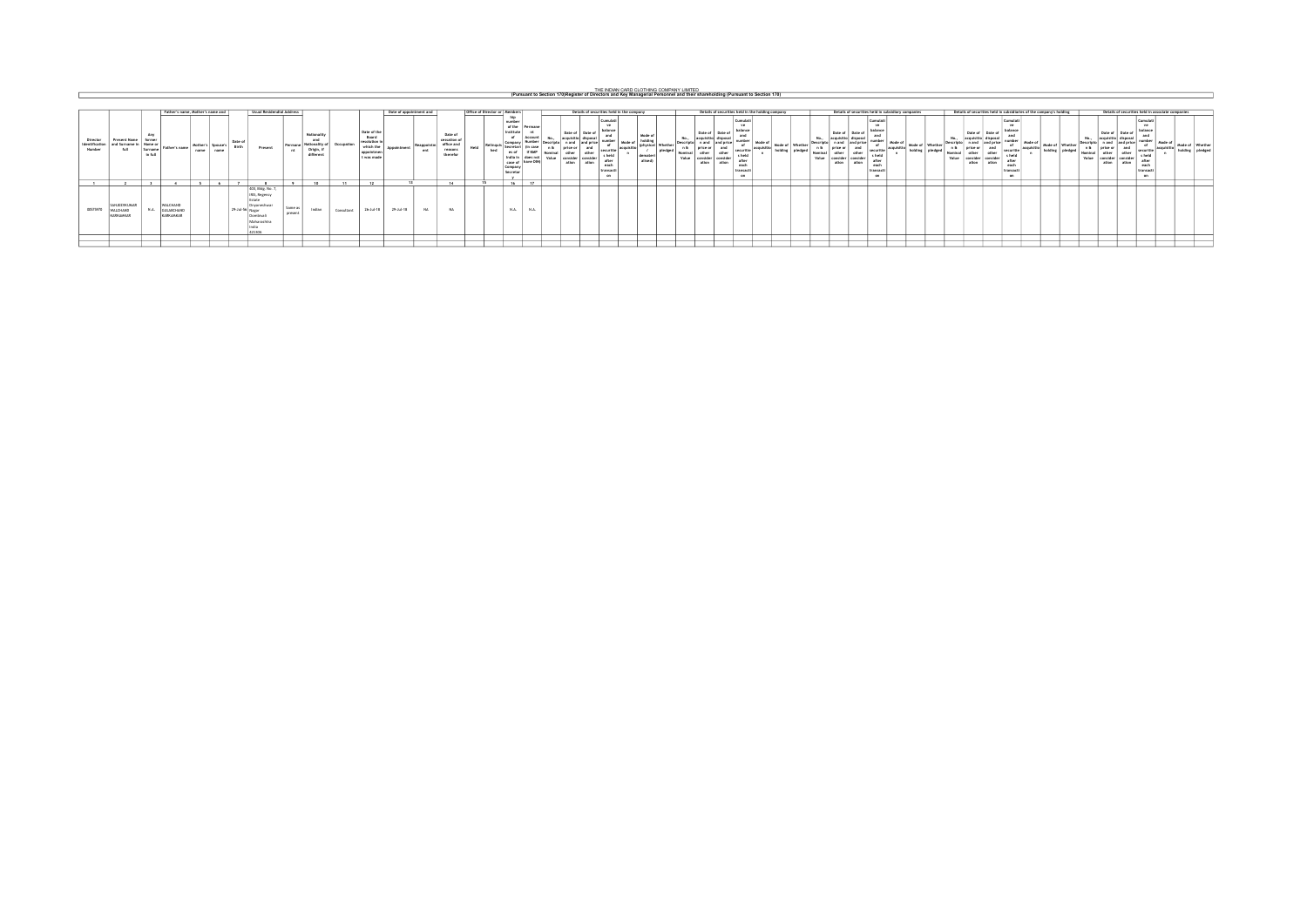THE INDIAN CARD CLOTHING COMPANY LIMITED<br>(Pursuant to Section 170)Register of Directors and Key Managerial Personnel and their shareholding (Pursuant to Section 170)

|                                      |                                              |                                                      |                                      | Father's name. Mother's name and |                           |                         | <b>Usual Residendial Address</b>                                                                         |                    |                                                                  |            |                                                                                                           |             | Date of appointment and |                                                           |      | Office of Director or Members |                                                                                                                            |                                   |                                      |               |                                                                                     | Details of securities held in the company |                                                     |                    |                         |                                                                                            | Details of securities held in the holding company                                     |        |                 |                    |                                              |                       |                                                                                                  | Details of securities held in subsidiary companies |                            |               |                                                  |                             | Details of securities held in subsidiaries of the company's holding                      |        |                            |                | Details of securities held in associate companies       |                                                                                    |                           |                                   |  |
|--------------------------------------|----------------------------------------------|------------------------------------------------------|--------------------------------------|----------------------------------|---------------------------|-------------------------|----------------------------------------------------------------------------------------------------------|--------------------|------------------------------------------------------------------|------------|-----------------------------------------------------------------------------------------------------------|-------------|-------------------------|-----------------------------------------------------------|------|-------------------------------|----------------------------------------------------------------------------------------------------------------------------|-----------------------------------|--------------------------------------|---------------|-------------------------------------------------------------------------------------|-------------------------------------------|-----------------------------------------------------|--------------------|-------------------------|--------------------------------------------------------------------------------------------|---------------------------------------------------------------------------------------|--------|-----------------|--------------------|----------------------------------------------|-----------------------|--------------------------------------------------------------------------------------------------|----------------------------------------------------|----------------------------|---------------|--------------------------------------------------|-----------------------------|------------------------------------------------------------------------------------------|--------|----------------------------|----------------|---------------------------------------------------------|------------------------------------------------------------------------------------|---------------------------|-----------------------------------|--|
| Director<br>Identification<br>Number | <b>Present Name</b><br>and Surname i<br>full | Atre<br>former<br>i I Name<br>- Nurname I<br>in full | Father's name                        | name                             | Mother's Spouse's<br>name | Date of<br><b>Birth</b> | Present                                                                                                  | Permane            | Nationality<br>and<br>I Nationality of<br>Origin, i<br>different | Occupation | Date of the<br>Board<br>resolution in<br>which the<br><b><i><u>visintme</u></i></b><br><b>Fluors made</b> | Appointment | Reappointm<br>ent       | Date of<br>cessation<br>office and<br>reasons<br>therefor | Held | Relingua<br>hed               | number<br>of the Permane<br>Institute<br>Account<br><b>Serretari</b><br><b>I have DINY</b><br>rase of<br>Compa<br>Secretar | lin case<br><b><i>UE KAAR</i></b> | Date of<br>neiro n<br>other<br>ation | other<br>atin | Cumulati<br>ve.<br>balance<br>securitis<br>beld<br>after<br>each<br>transacti<br>on | Mode<br>armicitis                         | Mode of<br>(physical Whether<br>demateri<br>alised) | l Døsrete<br>plede | n &<br>Nominal<br>Value | Date of<br>Date o<br>l price or<br>other<br>other<br>consider<br>conside<br>ation<br>ation | Cumulat<br><b>I</b> halance<br><b>SECURIT</b><br>s held<br>after<br>each<br>transarti | Mode o | Mode of Whether | Descripti<br>Value | Date of Date of<br>orice o<br>other<br>ation | and<br>other<br>ation | Cumulati<br><b>Vill</b><br>balance<br>securitis<br>s held<br>after<br>ead<br>transacti<br>$\sim$ | Mode of<br>holdin                                  | Mode of Whether<br>nledged | Nomi<br>Value | Date of<br>price or<br>other<br>nnsidar<br>ation | Date of<br>conside<br>ation | Cumulati<br><b>MA</b><br>balance<br>securit<br>s held<br>after<br>each<br>transart<br>on | Mode c | Mode of Whether<br>holding | omina<br>Value | Date of<br>Date o<br>other<br>consid-<br>ation<br>ation | Cumulat<br>ve<br>balance<br>securitie<br>s held<br>after<br>each<br>transact<br>on | Mode of<br><b>Armukin</b> | Mode of Whethe<br>holding pledges |  |
|                                      |                                              |                                                      |                                      |                                  |                           |                         |                                                                                                          |                    |                                                                  | $-44$      | $\rightarrow$                                                                                             |             |                         | $\overline{a}$                                            |      |                               |                                                                                                                            | $\overline{1}$                    |                                      |               |                                                                                     |                                           |                                                     |                    |                         |                                                                                            |                                                                                       |        |                 |                    |                                              |                       |                                                                                                  |                                                    |                            |               |                                                  |                             |                                                                                          |        |                            |                |                                                         |                                                                                    |                           |                                   |  |
| 00575970                             | SANJEEVKUMAR<br>WALCHAND<br>KARKAMKAI        | NA                                                   | WAI CHAND<br>GULABCHAND<br>KARKAMKAR |                                  |                           |                         | 403, Bldg, No. 7,<br>IRIS, Regency<br>Fetate<br>Dnyaneshwa<br>29-Jul-56 Nagar<br>Dombival<br>Maharashtra | Same as<br>nresent | Indian                                                           | Consultant | 26-Jul-18                                                                                                 | 29-Jul-18   | $_{\rm M}$              |                                                           |      |                               | N.A.<br>$\sim$ N.A. $\sim$                                                                                                 |                                   |                                      |               |                                                                                     |                                           |                                                     |                    |                         |                                                                                            |                                                                                       |        |                 |                    |                                              |                       |                                                                                                  |                                                    |                            |               |                                                  |                             |                                                                                          |        |                            |                |                                                         |                                                                                    |                           |                                   |  |
|                                      |                                              |                                                      |                                      |                                  |                           |                         |                                                                                                          |                    |                                                                  |            |                                                                                                           |             |                         |                                                           |      |                               |                                                                                                                            |                                   |                                      |               |                                                                                     |                                           |                                                     |                    |                         |                                                                                            |                                                                                       |        |                 |                    |                                              |                       |                                                                                                  |                                                    |                            |               |                                                  |                             |                                                                                          |        |                            |                |                                                         |                                                                                    |                           |                                   |  |
|                                      |                                              |                                                      |                                      |                                  |                           |                         |                                                                                                          |                    |                                                                  |            |                                                                                                           |             |                         |                                                           |      |                               |                                                                                                                            |                                   |                                      |               |                                                                                     |                                           |                                                     |                    |                         |                                                                                            |                                                                                       |        |                 |                    |                                              |                       |                                                                                                  |                                                    |                            |               |                                                  |                             |                                                                                          |        |                            |                |                                                         |                                                                                    |                           |                                   |  |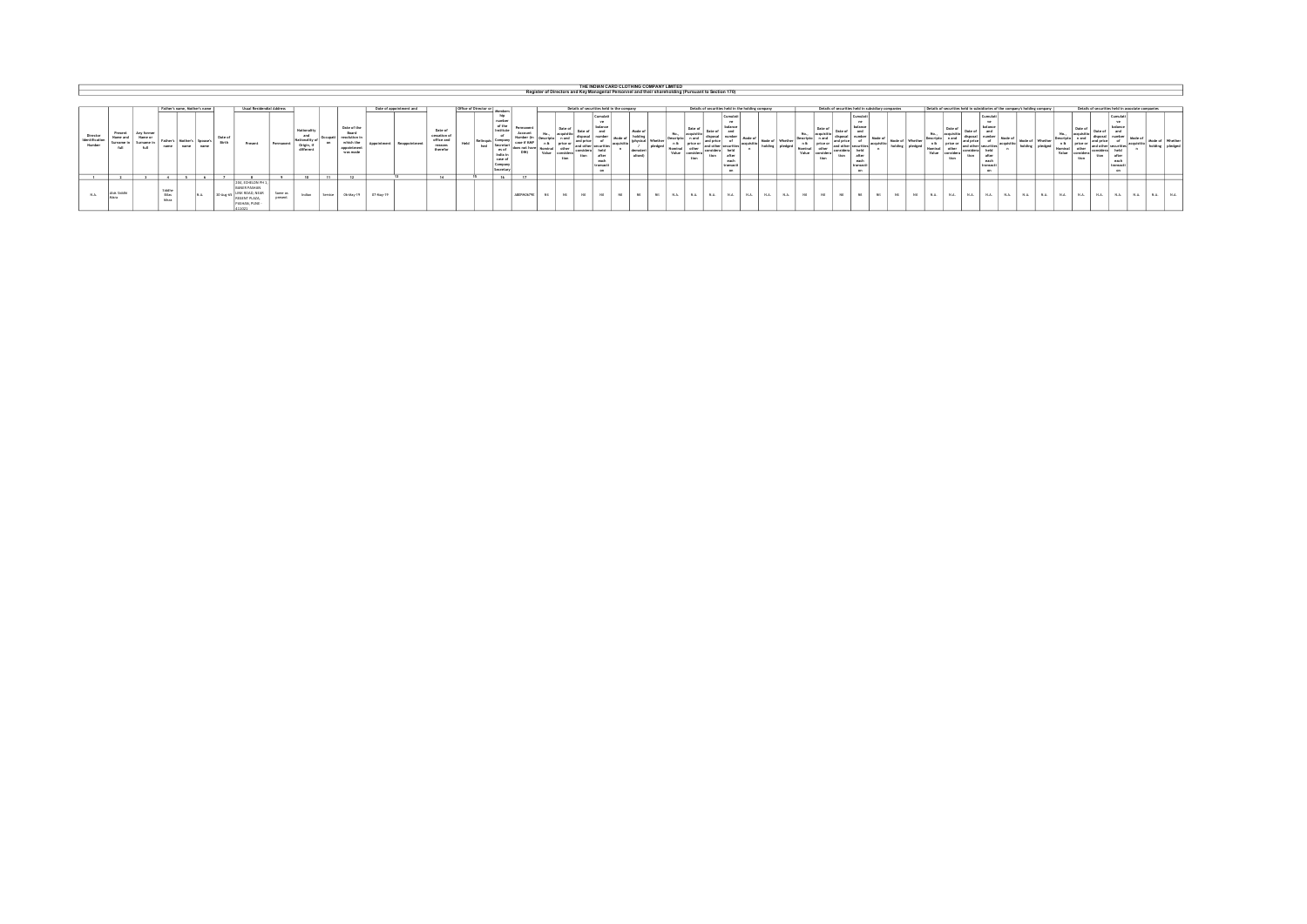|                                      |                                         |                                   |                                 |                                                                   |           |                                                                                                |                                        |                                                             |          |                                                                     |                    |                                                 |                                                             |                                      |                                                                                   |              |                          |             |                                                                                         | THE INDIAN CARD CLOTHING COMPANY LIMITED                                                            |         |                |                                                                                 |                                                                |    |                 |                                          |                                                                                 |                                               |            |                                    |              |                            |            |                                                                 |                                                                             |               |                         |                             |                                                                                                                                                                 |  |            |
|--------------------------------------|-----------------------------------------|-----------------------------------|---------------------------------|-------------------------------------------------------------------|-----------|------------------------------------------------------------------------------------------------|----------------------------------------|-------------------------------------------------------------|----------|---------------------------------------------------------------------|--------------------|-------------------------------------------------|-------------------------------------------------------------|--------------------------------------|-----------------------------------------------------------------------------------|--------------|--------------------------|-------------|-----------------------------------------------------------------------------------------|-----------------------------------------------------------------------------------------------------|---------|----------------|---------------------------------------------------------------------------------|----------------------------------------------------------------|----|-----------------|------------------------------------------|---------------------------------------------------------------------------------|-----------------------------------------------|------------|------------------------------------|--------------|----------------------------|------------|-----------------------------------------------------------------|-----------------------------------------------------------------------------|---------------|-------------------------|-----------------------------|-----------------------------------------------------------------------------------------------------------------------------------------------------------------|--|------------|
|                                      |                                         |                                   |                                 |                                                                   |           |                                                                                                |                                        |                                                             |          |                                                                     |                    |                                                 |                                                             |                                      |                                                                                   |              |                          |             |                                                                                         | Register of Directors and Key Managerial Personnel and their shareholding (Pursuant to Section 170) |         |                |                                                                                 |                                                                |    |                 |                                          |                                                                                 |                                               |            |                                    |              |                            |            |                                                                 |                                                                             |               |                         |                             |                                                                                                                                                                 |  |            |
| Director<br>Identification<br>Number | Present<br>Name an<br>Surname i<br>6.01 | Any former<br>Marrie -<br>Surname | Fathar's<br>name                | Father's name. Mother's name<br>Mother's Soouse's<br>name<br>name | Date of   | Present                                                                                        | Usual Residendial Address<br>Permanent | Nationality<br>and<br>Nationality<br>Origin, 1<br>different |          | Date of the<br><b>Board</b><br>which the<br>appointment<br>was made | fin sim finishment | Date of appointment and<br><b>Bearingstream</b> | Date of<br>cessation o<br>office and<br>reasons<br>therefor | Office of Director or<br>Held<br>hed | numbe<br>of the<br>Institute<br>es of<br>India i<br>case of<br>Compa<br>Secretary | Permanent    | Date of<br>Value<br>tion | <b>Fire</b> | Cumulati<br><b>Seattle</b><br>balance<br>after<br>each<br>transacti<br>com <sub>-</sub> | Details of securities held in the company<br>Mode of<br>Mode r<br>(bettla)                          | Whether | Value          | Details of securities held in the holding company<br>Date of<br>price or<br>tin | complar"<br><b>SOFT</b><br>balance<br>aft.<br>each<br>tramacti |    | Mode of Whather | n & price or<br>Nominal<br>Value<br>tion | Details of securities held in subsidiary companies<br>and price<br><b>Finny</b> | Cumula<br>balance<br>after<br>each<br>transac | accuration | Mode of Whether<br>holding pledged | n &<br>Value | Date of<br>price o<br>tion | <b>Hon</b> | Cumulat<br><b>State</b><br>balance<br>after<br>each<br>transact | Details of securities held in subsidiaries of the company's holding company | in of Whathar | n &<br>Nominal<br>Value | Date of<br>price or<br>tion | Details of securities held in associate companies<br>Cumulati<br>ve.<br>balance<br>nd orice<br>nd athar I securiti<br>tion.<br>after<br>each<br>transacti<br>on |  | of Whether |
|                                      |                                         |                                   |                                 |                                                                   |           |                                                                                                |                                        |                                                             | $\cdots$ | $\sim$                                                              |                    |                                                 |                                                             |                                      |                                                                                   | $\mathbf{r}$ |                          |             |                                                                                         |                                                                                                     |         |                |                                                                                 |                                                                |    |                 |                                          |                                                                                 |                                               |            |                                    |              |                            |            |                                                                 |                                                                             |               |                         |                             |                                                                                                                                                                 |  |            |
| N.A.                                 | Aleir Sidell<br>Mara                    |                                   | Siddhe<br><b>Bilas</b><br>Misra |                                                                   | 30-Aug-65 | 204. ECHELON PH 1<br><b>BANER PASHAN</b><br>LINK ROAD, NEAR<br>REGENT PLAZA.<br>PASHAN, PUNE - | Same as<br>present                     | Indian                                                      | Service  | 06-May-19                                                           | 07-May-19          |                                                 |                                                             |                                      |                                                                                   | ABEPMOSTRE   |                          |             |                                                                                         |                                                                                                     |         | N <sub>A</sub> | N.A.<br>NA                                                                      | N.A.                                                           | NA | N.A.            |                                          |                                                                                 |                                               |            |                                    |              |                            |            |                                                                 |                                                                             |               |                         |                             |                                                                                                                                                                 |  |            |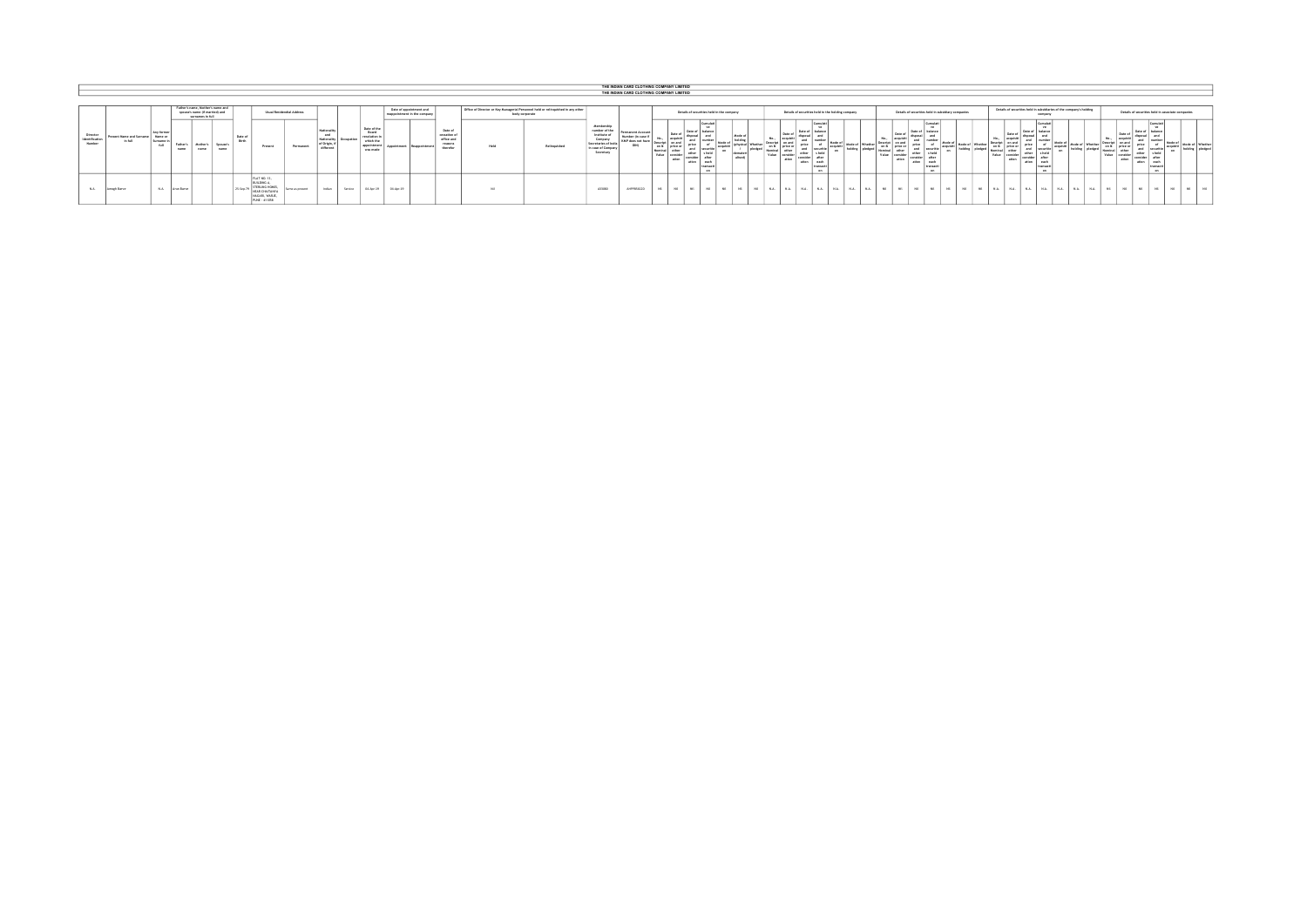|                                      |                                              |                                                               |                                                    |                                  |                         |                                                                                                            |                           |                                                           |                  |                                                                            |           |                                                         |                                                              |                                                                                  |                |                                                                                                                 |                                     | THE INDIAN CARD CLOTHING COMPANY LIMITED |               |                                                                                   |                                                                          |                 |                          |                 |                                                    |                                                           |                         |                    |                                             |                                                                                                |                                                    |            |                         |                              |                                    |                                                    |                                                                     |    |                                                                                 |                                      |                                                                                                |  |
|--------------------------------------|----------------------------------------------|---------------------------------------------------------------|----------------------------------------------------|----------------------------------|-------------------------|------------------------------------------------------------------------------------------------------------|---------------------------|-----------------------------------------------------------|------------------|----------------------------------------------------------------------------|-----------|---------------------------------------------------------|--------------------------------------------------------------|----------------------------------------------------------------------------------|----------------|-----------------------------------------------------------------------------------------------------------------|-------------------------------------|------------------------------------------|---------------|-----------------------------------------------------------------------------------|--------------------------------------------------------------------------|-----------------|--------------------------|-----------------|----------------------------------------------------|-----------------------------------------------------------|-------------------------|--------------------|---------------------------------------------|------------------------------------------------------------------------------------------------|----------------------------------------------------|------------|-------------------------|------------------------------|------------------------------------|----------------------------------------------------|---------------------------------------------------------------------|----|---------------------------------------------------------------------------------|--------------------------------------|------------------------------------------------------------------------------------------------|--|
|                                      |                                              |                                                               |                                                    |                                  |                         |                                                                                                            |                           |                                                           |                  |                                                                            |           |                                                         |                                                              |                                                                                  |                |                                                                                                                 |                                     | THE INDIAN CARD CLOTHING COMPANY LIMITED |               |                                                                                   |                                                                          |                 |                          |                 |                                                    |                                                           |                         |                    |                                             |                                                                                                |                                                    |            |                         |                              |                                    |                                                    |                                                                     |    |                                                                                 |                                      |                                                                                                |  |
|                                      |                                              |                                                               |                                                    |                                  |                         |                                                                                                            |                           |                                                           |                  |                                                                            |           |                                                         |                                                              |                                                                                  |                |                                                                                                                 |                                     |                                          |               |                                                                                   |                                                                          |                 |                          |                 |                                                    |                                                           |                         |                    |                                             |                                                                                                |                                                    |            |                         |                              |                                    |                                                    |                                                                     |    |                                                                                 |                                      |                                                                                                |  |
|                                      |                                              |                                                               | spouse's name (if married) and<br>surnames in full | Father's name. Hother's name and |                         |                                                                                                            | Usual Residendial Address |                                                           |                  |                                                                            |           | Date of appointment and<br>reappointment in the company |                                                              | Office of Director or Key Managerial Personnel held or relinquished in any other | body corporate |                                                                                                                 |                                     |                                          |               |                                                                                   | Details of securities held in the company                                |                 |                          |                 |                                                    | Details of securities held in the holding company         |                         |                    |                                             |                                                                                                | Details of securities held in subsidiary companies |            |                         |                              |                                    | company                                            | Details of securities held in subsidiaries of the company's holding |    |                                                                                 |                                      | Details of securities held in associate companies                                              |  |
| Director<br>identification<br>Number | Present Name and Surname   Name o<br>In full | Any former<br><b>Sumama</b><br>Father's<br><b>Add</b><br>name | <b>Mother</b><br>name                              | Spouse's<br>name                 | Date of<br><b>Block</b> | Present                                                                                                    | Permanent                 | National<br>and<br>Nationality<br>of Origin,<br>different | <b>Innunesia</b> | Date of the<br>Board<br>resolution<br>which the<br>appointment<br>was made |           |                                                         | Date of<br>cessation of<br>office and<br>reasons<br>therefor | Meld                                                                             | Relinquished   | Membership<br>number of the<br>Institute of<br>Company<br>Secretaries of Ind<br>In case of Company<br>Secretary | Permanent Account<br>Number (in cas | con the<br>Value                         | ation         | Date of Date of 1 mm<br>ndra.<br>other<br><b><i><u>Anderson</u></i></b><br>atting | <b>SIMMED</b><br>balance<br>$\sim$<br>site<br>anch.<br>transac<br>$\sim$ | Mode o<br>allon |                          | Date o<br>ation | <b>Date</b><br>price<br><b>CONTRACTOR</b><br>ation | Mode of<br><b>Securities</b><br>anch.<br><b>Francisco</b> | <b>Mode of Whether:</b> | Descript           | Date of<br>on and<br>on & erice or<br>ation | Currulet<br>grice<br>securitie<br>a hall<br><b>nithar</b><br>atten.<br>and.<br>transac<br>con. | Mode of<br><b>Node of Whether  </b>                |            | co.b<br>Value           | Date of<br>price or<br>ation | Data of<br>price<br>other<br>ation | <b>Barnetti</b><br>1 held<br><b>Lawh</b><br>$\sim$ | Mode of Whether                                                     |    | Date of<br>, on & strice or "<br>other<br>Sominal I<br>Value consider<br>ation. | I Date of<br>price<br>other<br>ation | Cumulat<br><b>halance</b><br>Mode o<br><b>Securitie</b><br>s held<br>after<br>each<br>transact |  |
| N.A.                                 | Amosh Barye                                  | NA.<br>Arun Barye                                             |                                                    |                                  | 25-Sep-7                | <b>FLAT NO. 13.</b><br>BUILDING A.<br>STERLING HOMES,<br>NEAR CHAITANYA<br>NAGARI, WARJE,<br>PUNE - 411058 | Same as present           | Indian                                                    | Senice           | 04-Apr-29                                                                  | 04-Apr-19 |                                                         |                                                              |                                                                                  |                | A33080                                                                                                          | AHPPSG6120                          |                                          | <b>NATION</b> | <b>MAR</b>                                                                        | <b>NATI</b>                                                              | <b>NATION</b>   | <b>NOW!</b><br><b>MA</b> | N.A.            | NA.                                                | N.A.<br><b>TERRIT E</b>                                   | N.A.                    | N.A.<br><b>AND</b> |                                             | <b>NO</b>                                                                                      | <b>NOTE</b><br><b>NATION</b>                       | <b>NOT</b> | N.A.<br>NH <sub>1</sub> | N.A.                         | N.A.                               | N.A.<br>N.A.                                       | N <sub>A</sub>                                                      | NA | <b>ME</b>                                                                       | <b>ME</b>                            |                                                                                                |  |